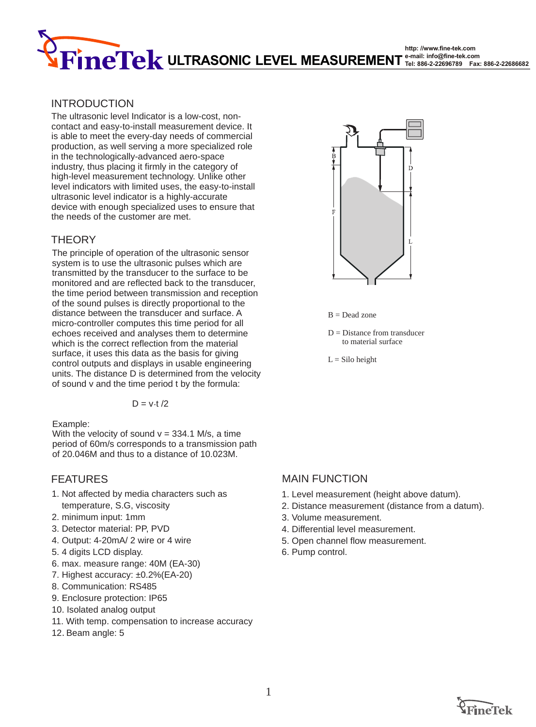**http: //www.fine-tek.com e-mail: info@fine-tek.com ULTRASONIC LEVEL MEASUREMENT Tel: 886-2-22696789 Fax: 886-2-22686682**

#### INTRODUCTION

The ultrasonic level Indicator is a low-cost, noncontact and easy-to-install measurement device. It is able to meet the every-day needs of commercial production, as well serving a more specialized role in the technologically-advanced aero-space industry, thus placing it firmly in the category of high-level measurement technology. Unlike other level indicators with limited uses, the easy-to-install ultrasonic level indicator is a highly-accurate device with enough specialized uses to ensure that the needs of the customer are met.

#### **THEORY**

The principle of operation of the ultrasonic sensor system is to use the ultrasonic pulses which are transmitted by the transducer to the surface to be monitored and are reflected back to the transducer, the time period between transmission and reception of the sound pulses is directly proportional to the distance between the transducer and surface. A micro-controller computes this time period for all echoes received and analyses them to determine which is the correct reflection from the material surface, it uses this data as the basis for giving control outputs and displays in usable engineering units. The distance D is determined from the velocity of sound v and the time period t by the formula:

$$
D=v\!\cdot\! t/2
$$

Example:

With the velocity of sound  $v = 334.1$  M/s, a time period of 60m/s corresponds to a transmission path of 20.046M and thus to a distance of 10.023M.

- 1. Not affected by media characters such as temperature, S.G, viscosity
- 2. minimum input: 1mm
- 3. Detector material: PP, PVD
- 4. Output: 4-20mA/ 2 wire or 4 wire
- 5. 4 digits LCD display.
- 6. max. measure range: 40M (EA-30)
- 7. Highest accuracy: ±0.2%(EA-20)
- 8. Communication: RS485
- 9. Enclosure protection: IP65
- 10. Isolated analog output
- 11. With temp. compensation to increase accuracy
- 12.Beam angle: 5



 $B = Dead$  zone

 $D = Distance from transducer$ to material surface

$$
L = \text{Silo height}
$$

#### FEATURES MAIN FUNCTION

- 1. Level measurement (height above datum).
- 2. Distance measurement (distance from a datum).
- 3. Volume measurement.
- 4. Differential level measurement.
- 5. Open channel flow measurement.
- 6. Pump control.

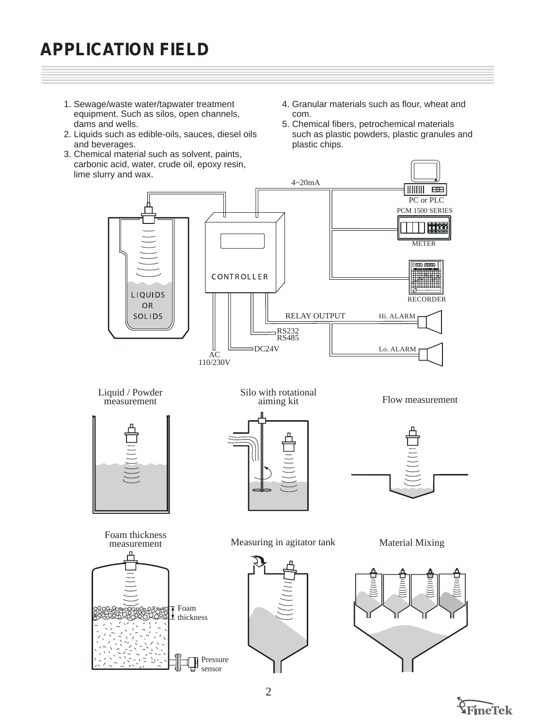# **APPLICATION FIELD**

- 1. Sewage/waste water/tapwater treatment equipment. Such as silos, open channels, dams and wells.
- 2. Liquids such as edible-oils, sauces, diesel oils and beverages.
- 3. Chemical material such as solvent, paints, carbonic acid, water, crude oil, epoxy resin, lime slurry and wax.
- 4. Granular materials such as flour, wheat and com.
- 5. Chemical fibers, petrochemical materials such as plastic powders, plastic granules and plastic chips.



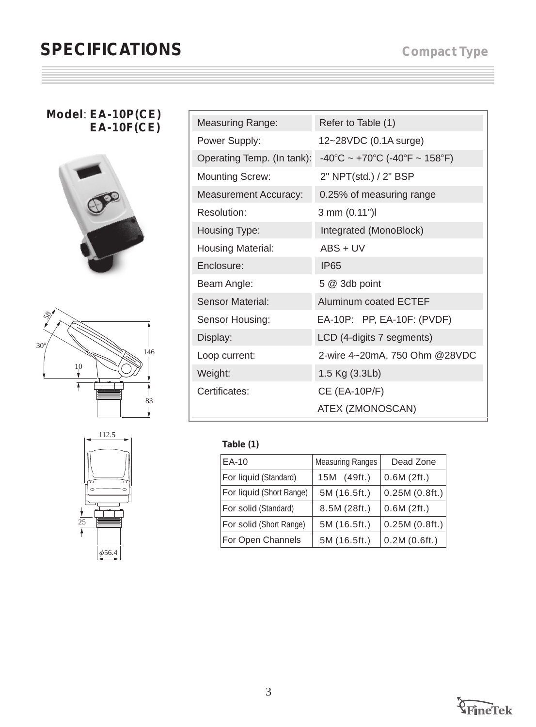## **SPECIFICATIONS**

#### **Model**: **EA-10P(CE) EA-10F(CE)**







| <b>Measuring Range:</b>      | Refer to Table (1)                                                       |
|------------------------------|--------------------------------------------------------------------------|
| Power Supply:                | 12~28VDC (0.1A surge)                                                    |
| Operating Temp. (In tank):   | $-40^{\circ}$ C ~ +70 $^{\circ}$ C (-40 $^{\circ}$ F ~ 158 $^{\circ}$ F) |
| <b>Mounting Screw:</b>       | 2" NPT(std.) / 2" BSP                                                    |
| <b>Measurement Accuracy:</b> | 0.25% of measuring range                                                 |
| Resolution:                  | 3 mm (0.11")                                                             |
| Housing Type:                | Integrated (MonoBlock)                                                   |
| <b>Housing Material:</b>     | $ABS + UV$                                                               |
| Enclosure:                   | <b>IP65</b>                                                              |
| Beam Angle:                  | 5 @ 3db point                                                            |
| <b>Sensor Material:</b>      | Aluminum coated ECTEF                                                    |
| Sensor Housing:              | EA-10P: PP, EA-10F: (PVDF)                                               |
| Display:                     | LCD (4-digits 7 segments)                                                |
| Loop current:                | 2-wire 4~20mA, 750 Ohm @28VDC                                            |
| Weight:                      | 1.5 Kg (3.3Lb)                                                           |
| Certificates:                | CE (EA-10P/F)                                                            |
|                              | ATEX (ZMONOSCAN)                                                         |

### **Table (1)**

| EA-10                    | <b>Measuring Ranges</b> | Dead Zone     |
|--------------------------|-------------------------|---------------|
| For liquid (Standard)    | 15M (49ft.)             | 0.6M(2ft.)    |
| For liquid (Short Range) | 5M (16.5ft.)            | 0.25M(0.8ft.) |
| For solid (Standard)     | 8.5M (28ft.)            | 0.6M(2ft.)    |
| For solid (Short Range)  | 5M (16.5ft.)            | 0.25M(0.8ft.) |
| For Open Channels        | 5M (16.5ft.)            | 0.2M(0.6ft.)  |

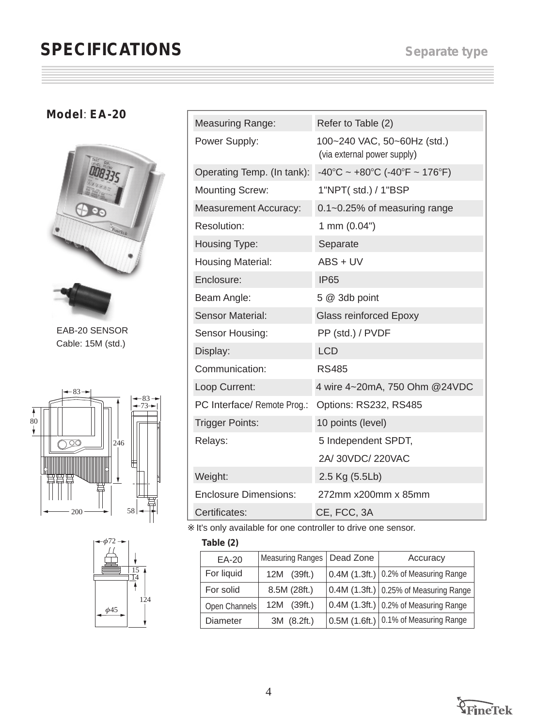## **SPECIFICATIONS**

### **Model**: **EA-20**



EAB-20 SENSOR Cable: 15M (std.)





| <b>Measuring Range:</b>      | Refer to Table (2)                                                       |
|------------------------------|--------------------------------------------------------------------------|
| Power Supply:                | 100~240 VAC, 50~60Hz (std.)<br>(via external power supply)               |
| Operating Temp. (In tank):   | $-40^{\circ}$ C ~ +80 $^{\circ}$ C (-40 $^{\circ}$ F ~ 176 $^{\circ}$ F) |
| <b>Mounting Screw:</b>       | 1"NPT( std.) / 1"BSP                                                     |
| <b>Measurement Accuracy:</b> | 0.1~0.25% of measuring range                                             |
| Resolution:                  | 1 mm (0.04")                                                             |
| Housing Type:                | Separate                                                                 |
| <b>Housing Material:</b>     | ABS + UV                                                                 |
| Enclosure:                   | <b>IP65</b>                                                              |
| Beam Angle:                  | 5 @ 3db point                                                            |
| <b>Sensor Material:</b>      | <b>Glass reinforced Epoxy</b>                                            |
| Sensor Housing:              | PP (std.) / PVDF                                                         |
| Display:                     | <b>LCD</b>                                                               |
| Communication:               | <b>RS485</b>                                                             |
| Loop Current:                | 4 wire 4~20mA, 750 Ohm @24VDC                                            |
| PC Interface/ Remote Prog.:  | Options: RS232, RS485                                                    |
| <b>Trigger Points:</b>       | 10 points (level)                                                        |
| Relays:                      | 5 Independent SPDT,                                                      |
|                              | 2A/30VDC/220VAC                                                          |
| Weight:                      | 2.5 Kg (5.5Lb)                                                           |
| <b>Enclosure Dimensions:</b> | 272mm x200mm x 85mm                                                      |
| Certificates:                | CE, FCC, 3A                                                              |

It's only available for one controller to drive one sensor.

#### **Table (2)**

| EA-20           | Measuring Ranges | Dead Zone | Accuracy                                               |
|-----------------|------------------|-----------|--------------------------------------------------------|
| For liquid      | 12M (39ft.)      |           | $\vert$ 0.4M (1.3ft.) $\vert$ 0.2% of Measuring Range  |
| For solid       | 8.5M (28ft.)     |           | $\vert$ 0.4M (1.3ft.) $\vert$ 0.25% of Measuring Range |
| Open Channels   | 12M (39ft.)      |           | $\vert$ 0.4M (1.3ft.) $\vert$ 0.2% of Measuring Range  |
| <b>Diameter</b> | 3M (8.2ft.)      |           | $\vert$ 0.5M (1.6ft.) $\vert$ 0.1% of Measuring Range  |

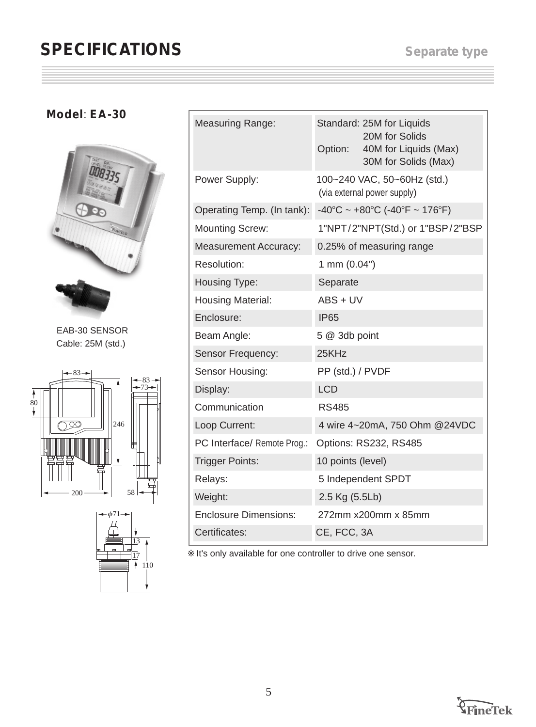# **SPECIFICATIONS** Separate type

### **Model**: **EA-30**



EAB-30 SENSOR Cable: 25M (std.)





| <b>Measuring Range:</b>      | Standard: 25M for Liquids<br>20M for Solids<br>40M for Liquids (Max)<br>Option:<br>30M for Solids (Max) |  |
|------------------------------|---------------------------------------------------------------------------------------------------------|--|
| Power Supply:                | 100~240 VAC, 50~60Hz (std.)<br>(via external power supply)                                              |  |
| Operating Temp. (In tank):   | $-40^{\circ}$ C ~ +80 $^{\circ}$ C (-40 $^{\circ}$ F ~ 176 $^{\circ}$ F)                                |  |
| <b>Mounting Screw:</b>       | 1"NPT/2"NPT(Std.) or 1"BSP/2"BSP                                                                        |  |
| <b>Measurement Accuracy:</b> | 0.25% of measuring range                                                                                |  |
| Resolution:                  | 1 mm (0.04")                                                                                            |  |
| Housing Type:                | Separate                                                                                                |  |
| <b>Housing Material:</b>     | ABS + UV                                                                                                |  |
| Enclosure:                   | <b>IP65</b>                                                                                             |  |
| Beam Angle:                  | 5 @ 3db point                                                                                           |  |
| Sensor Frequency:            | 25KHz                                                                                                   |  |
| Sensor Housing:              | PP (std.) / PVDF                                                                                        |  |
| Display:                     | <b>LCD</b>                                                                                              |  |
| Communication                | <b>RS485</b>                                                                                            |  |
| Loop Current:                | 4 wire 4~20mA, 750 Ohm @24VDC                                                                           |  |
| PC Interface/ Remote Prog.:  | Options: RS232, RS485                                                                                   |  |
| <b>Trigger Points:</b>       | 10 points (level)                                                                                       |  |
| Relays:                      | 5 Independent SPDT                                                                                      |  |
| Weight:                      | 2.5 Kg (5.5Lb)                                                                                          |  |
| <b>Enclosure Dimensions:</b> | 272mm x200mm x 85mm                                                                                     |  |
| Certificates:                | CE, FCC, 3A                                                                                             |  |

It's only available for one controller to drive one sensor.